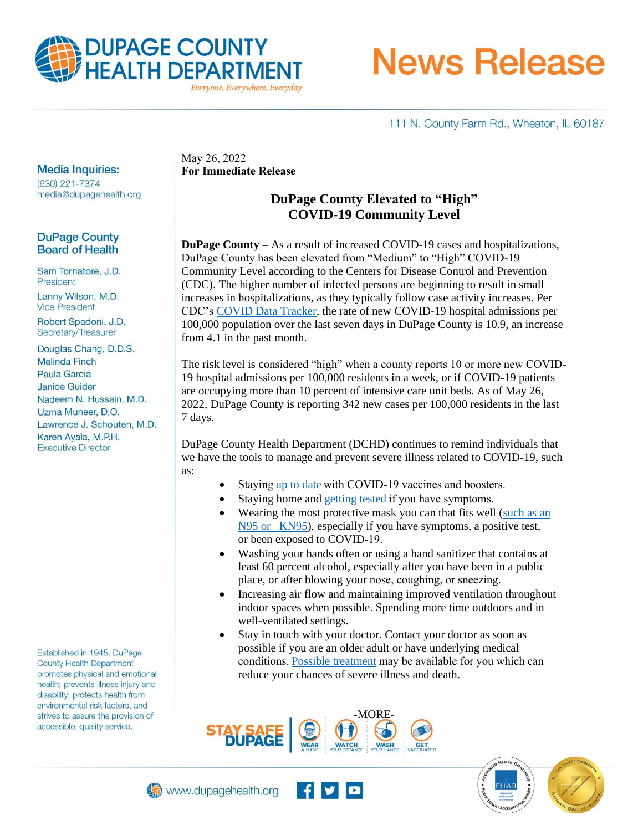

**News Release** 

111 N. County Farm Rd., Wheaton, IL 60187

#### **Media Inquiries:**

(630) 221-7374 media@dupagehealth.org

## **DuPage County Board of Health**

Sam Tornatore, J.D. President

Lanny Wilson, M.D. **Vice President** 

Robert Spadoni, J.D. Secretary/Treasurer

Douglas Chang, D.D.S. **Melinda Finch** Paula Garcia **Janice Guider** Nadeem N. Hussain, M.D. Uzma Muneer, D.O. Lawrence J. Schouten, M.D. Karen Ayala, M.P.H. **Executive Director** 

Established in 1945, DuPage **County Health Department** promotes physical and emotional health; prevents illness injury and disability; protects health from environmental risk factors, and strives to assure the provision of accessible, quality service.

May 26, 2022 **For Immediate Release** 

## **DuPage County Elevated to "High" COVID-19 Community Level**

**DuPage County –** As a result of increased COVID-19 cases and hospitalizations, DuPage County has been elevated from "Medium" to "High" COVID-19 Community Level according to the Centers for Disease Control and Prevention (CDC). The higher number of infected persons are beginning to result in small increases in hospitalizations, as they typically follow case activity increases. Per CDC's [COVID Data Tracker,](https://covid.cdc.gov/covid-data-tracker/#county-view?list_select_state=Illinois&data-type=Hospital&list_select_county=17043&metric-admissions=admissions_covid_confirmed_last_7_days&null=Hospital) the rate of new COVID-19 hospital admissions per 100,000 population over the last seven days in DuPage County is 10.9, an increase from 4.1 in the past month.

The risk level is considered "high" when a county reports 10 or more new COVID-19 hospital admissions per 100,000 residents in a week, or if COVID-19 patients are occupying more than 10 percent of intensive care unit beds. As of May 26, 2022, DuPage County is reporting 342 new cases per 100,000 residents in the last 7 days.

DuPage County Health Department (DCHD) continues to remind individuals that we have the tools to manage and prevent severe illness related to COVID-19, such as:

- Staying up to date with COVID-19 vaccines and boosters.
- Staying home and getting tested if you have symptoms.
- Wearing the most protective mask you can that fits well (such as an [N95 or KN95\)](https://www.cdc.gov/coronavirus/2019-ncov/your-health/free-masks.html), especially if you have symptoms, a positive test, or been exposed to COVID-19.
- Washing your hands often or using a hand sanitizer that contains at least 60 percent alcohol, especially after you have been in a public place, or after blowing your nose, coughing, or sneezing.
- Increasing air flow and maintaining improved ventilation throughout indoor spaces when possible. Spending more time outdoors and in well-ventilated settings.
- Stay in touch with your doctor. Contact your doctor as soon as possible if you are an older adult or have underlying medical conditions[. Possible treatment m](https://www.cdc.gov/coronavirus/2019-ncov/your-health/treatments-for-severe-illness.html)ay be available for you which can reduce your chances of severe illness and death.